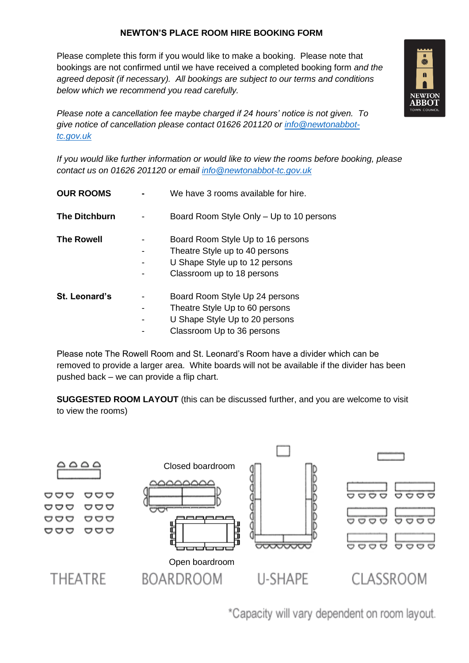## **NEWTON'S PLACE ROOM HIRE BOOKING FORM**

Please complete this form if you would like to make a booking. Please note that bookings are not confirmed until we have received a completed booking form *and the agreed deposit (if necessary). All bookings are subject to our terms and conditions below which we recommend you read carefully.* 



*Please note a cancellation fee maybe charged if 24 hours' notice is not given. To give notice of cancellation please contact 01626 201120 or [info@newtonabbot](mailto:info@newtonabbot-tc.gov.uk)[tc.gov.uk](mailto:info@newtonabbot-tc.gov.uk)*

*If you would like further information or would like to view the rooms before booking, please contact us on 01626 201120 or email [info@newtonabbot-tc.gov.uk](mailto:info@newtonabbot-tc.gov.uk)*

| <b>OUR ROOMS</b>     | We have 3 rooms available for hire.                                                                                                 |  |  |
|----------------------|-------------------------------------------------------------------------------------------------------------------------------------|--|--|
| <b>The Ditchburn</b> | Board Room Style Only – Up to 10 persons                                                                                            |  |  |
| <b>The Rowell</b>    | Board Room Style Up to 16 persons<br>Theatre Style up to 40 persons<br>U Shape Style up to 12 persons<br>Classroom up to 18 persons |  |  |
| <b>St. Leonard's</b> | Board Room Style Up 24 persons<br>Theatre Style Up to 60 persons<br>U Shape Style Up to 20 persons<br>Classroom Up to 36 persons    |  |  |

Please note The Rowell Room and St. Leonard's Room have a divider which can be removed to provide a larger area. White boards will not be available if the divider has been pushed back – we can provide a flip chart.

**SUGGESTED ROOM LAYOUT** (this can be discussed further, and you are welcome to visit to view the rooms)



\*Capacity will vary dependent on room layout.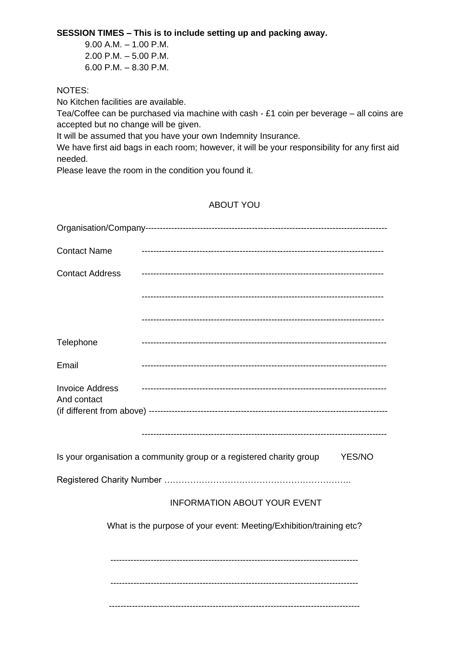**SESSION TIMES – This is to include setting up and packing away.**

9.00 A.M. – 1.00 P.M. 2.00 P.M. – 5.00 P.M. 6.00 P.M. – 8.30 P.M.

## NOTES:

No Kitchen facilities are available.

Tea/Coffee can be purchased via machine with cash - £1 coin per beverage – all coins are accepted but no change will be given.

It will be assumed that you have your own Indemnity Insurance.

We have first aid bags in each room; however, it will be your responsibility for any first aid needed.

Please leave the room in the condition you found it.

# ABOUT YOU

| <b>Contact Name</b>                                                 |                                                                                |  |  |  |  |  |
|---------------------------------------------------------------------|--------------------------------------------------------------------------------|--|--|--|--|--|
| <b>Contact Address</b>                                              |                                                                                |  |  |  |  |  |
|                                                                     |                                                                                |  |  |  |  |  |
|                                                                     |                                                                                |  |  |  |  |  |
| Telephone                                                           |                                                                                |  |  |  |  |  |
| Email                                                               |                                                                                |  |  |  |  |  |
| <b>Invoice Address</b><br>And contact                               |                                                                                |  |  |  |  |  |
|                                                                     |                                                                                |  |  |  |  |  |
|                                                                     | Is your organisation a community group or a registered charity group<br>YES/NO |  |  |  |  |  |
|                                                                     |                                                                                |  |  |  |  |  |
| <b>INFORMATION ABOUT YOUR EVENT</b>                                 |                                                                                |  |  |  |  |  |
| What is the purpose of your event: Meeting/Exhibition/training etc? |                                                                                |  |  |  |  |  |
|                                                                     |                                                                                |  |  |  |  |  |
|                                                                     |                                                                                |  |  |  |  |  |
|                                                                     |                                                                                |  |  |  |  |  |
|                                                                     |                                                                                |  |  |  |  |  |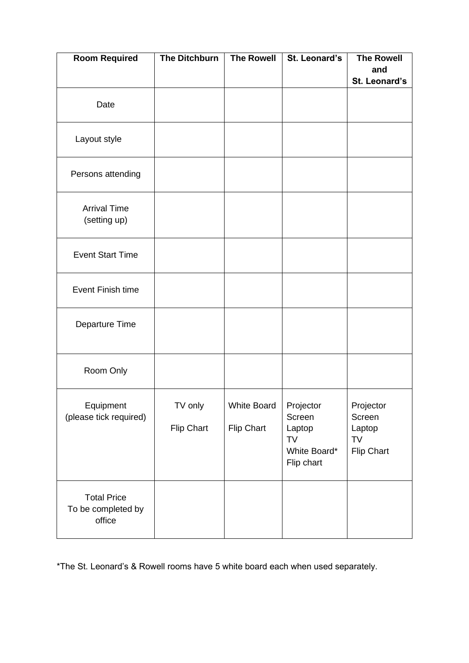| <b>Room Required</b>                               | <b>The Ditchburn</b>  | <b>The Rowell</b>         | St. Leonard's                                                     | <b>The Rowell</b>                                 |
|----------------------------------------------------|-----------------------|---------------------------|-------------------------------------------------------------------|---------------------------------------------------|
|                                                    |                       |                           |                                                                   | and                                               |
|                                                    |                       |                           |                                                                   | St. Leonard's                                     |
| Date                                               |                       |                           |                                                                   |                                                   |
| Layout style                                       |                       |                           |                                                                   |                                                   |
| Persons attending                                  |                       |                           |                                                                   |                                                   |
| <b>Arrival Time</b><br>(setting up)                |                       |                           |                                                                   |                                                   |
| <b>Event Start Time</b>                            |                       |                           |                                                                   |                                                   |
| <b>Event Finish time</b>                           |                       |                           |                                                                   |                                                   |
| Departure Time                                     |                       |                           |                                                                   |                                                   |
| Room Only                                          |                       |                           |                                                                   |                                                   |
| Equipment<br>(please tick required)                | TV only<br>Flip Chart | White Board<br>Flip Chart | Projector<br>Screen<br>Laptop<br>TV<br>White Board*<br>Flip chart | Projector<br>Screen<br>Laptop<br>TV<br>Flip Chart |
| <b>Total Price</b><br>To be completed by<br>office |                       |                           |                                                                   |                                                   |

\*The St. Leonard's & Rowell rooms have 5 white board each when used separately.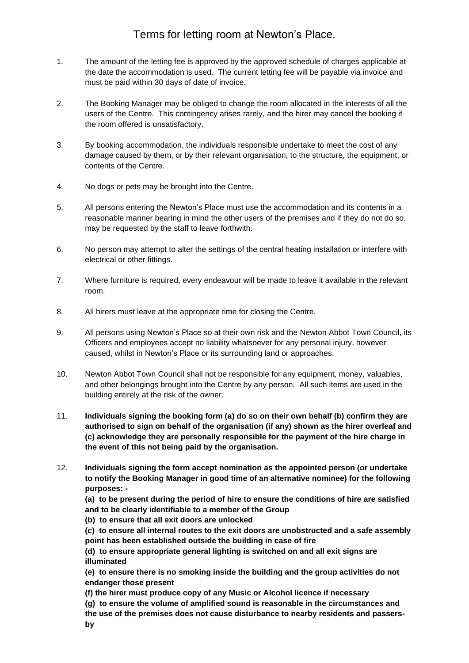# Terms for letting room at Newton's Place.

- 1. The amount of the letting fee is approved by the approved schedule of charges applicable at the date the accommodation is used. The current letting fee will be payable via invoice and must be paid within 30 days of date of invoice.
- 2. The Booking Manager may be obliged to change the room allocated in the interests of all the users of the Centre. This contingency arises rarely, and the hirer may cancel the booking if the room offered is unsatisfactory.
- 3. By booking accommodation, the individuals responsible undertake to meet the cost of any damage caused by them, or by their relevant organisation, to the structure, the equipment, or contents of the Centre.
- 4. No dogs or pets may be brought into the Centre.
- 5. All persons entering the Newton's Place must use the accommodation and its contents in a reasonable manner bearing in mind the other users of the premises and if they do not do so, may be requested by the staff to leave forthwith.
- 6. No person may attempt to alter the settings of the central heating installation or interfere with electrical or other fittings.
- 7. Where furniture is required, every endeavour will be made to leave it available in the relevant room.
- 8. All hirers must leave at the appropriate time for closing the Centre.
- 9. All persons using Newton's Place so at their own risk and the Newton Abbot Town Council, its Officers and employees accept no liability whatsoever for any personal injury, however caused, whilst in Newton's Place or its surrounding land or approaches.
- 10. Newton Abbot Town Council shall not be responsible for any equipment, money, valuables, and other belongings brought into the Centre by any person. All such items are used in the building entirely at the risk of the owner.
- 11. **Individuals signing the booking form (a) do so on their own behalf (b) confirm they are authorised to sign on behalf of the organisation (if any) shown as the hirer overleaf and (c) acknowledge they are personally responsible for the payment of the hire charge in the event of this not being paid by the organisation.**
- 12. **Individuals signing the form accept nomination as the appointed person (or undertake to notify the Booking Manager in good time of an alternative nominee) for the following purposes: -**

**(a) to be present during the period of hire to ensure the conditions of hire are satisfied and to be clearly identifiable to a member of the Group**

**(b) to ensure that all exit doors are unlocked**

**(c) to ensure all internal routes to the exit doors are unobstructed and a safe assembly point has been established outside the building in case of fire**

**(d) to ensure appropriate general lighting is switched on and all exit signs are illuminated**

**(e) to ensure there is no smoking inside the building and the group activities do not endanger those present**

**(f) the hirer must produce copy of any Music or Alcohol licence if necessary** 

**(g) to ensure the volume of amplified sound is reasonable in the circumstances and** 

**the use of the premises does not cause disturbance to nearby residents and passers-**